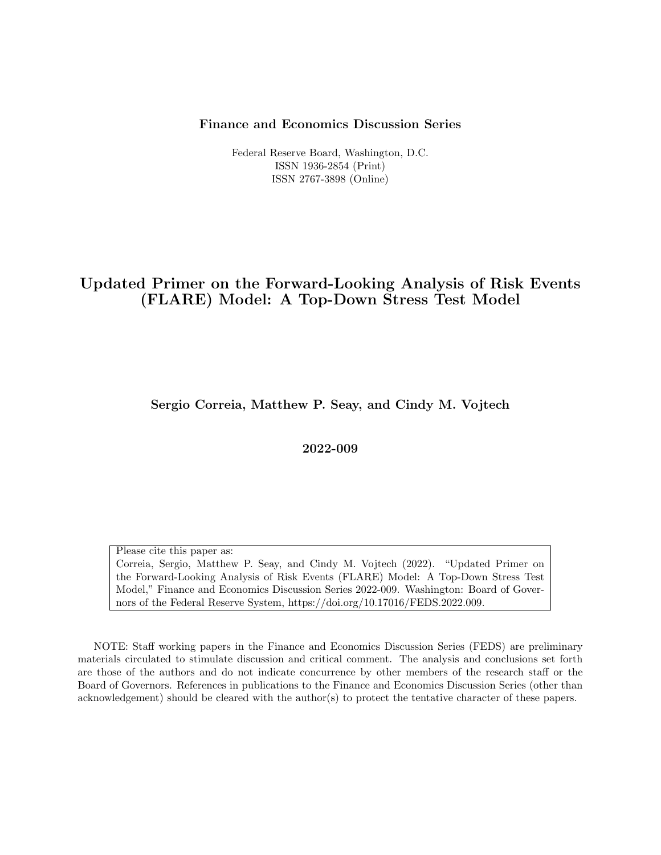#### Finance and Economics Discussion Series

Federal Reserve Board, Washington, D.C. ISSN 1936-2854 (Print) ISSN 2767-3898 (Online)

## Updated Primer on the Forward-Looking Analysis of Risk Events (FLARE) Model: A Top-Down Stress Test Model

Sergio Correia, Matthew P. Seay, and Cindy M. Vojtech

2022-009

Please cite this paper as: Correia, Sergio, Matthew P. Seay, and Cindy M. Vojtech (2022). "Updated Primer on the Forward-Looking Analysis of Risk Events (FLARE) Model: A Top-Down Stress Test Model," Finance and Economics Discussion Series 2022-009. Washington: Board of Governors of the Federal Reserve System, https://doi.org/10.17016/FEDS.2022.009.

NOTE: Staff working papers in the Finance and Economics Discussion Series (FEDS) are preliminary materials circulated to stimulate discussion and critical comment. The analysis and conclusions set forth are those of the authors and do not indicate concurrence by other members of the research staff or the Board of Governors. References in publications to the Finance and Economics Discussion Series (other than acknowledgement) should be cleared with the author(s) to protect the tentative character of these papers.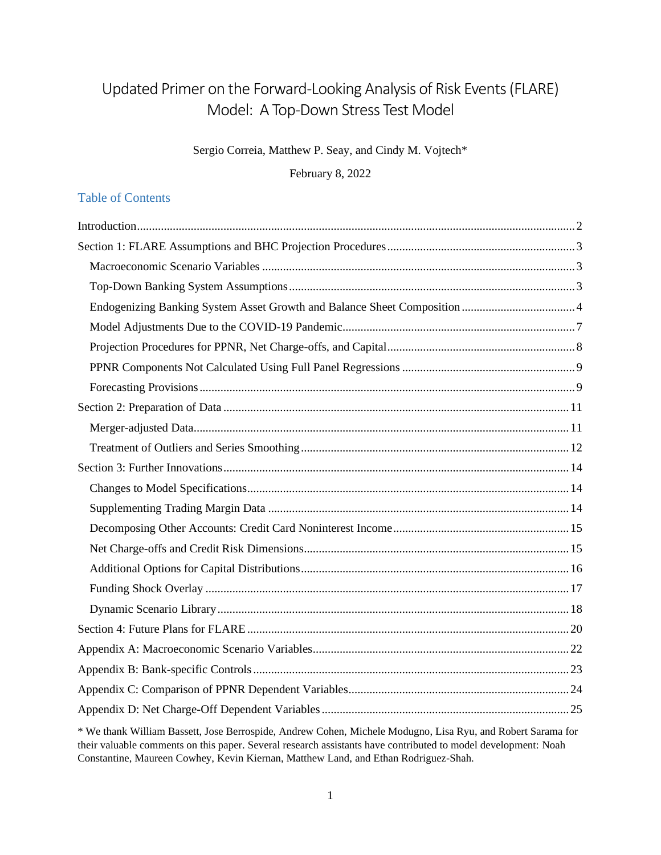# Updated Primer on the Forward-Looking Analysis of Risk Events (FLARE) Model: A Top-Down Stress Test Model

Sergio Correia, Matthew P. Seay, and Cindy M. Vojtech\*

February 8, 2022

## Table of Contents

\* We thank William Bassett, Jose Berrospide, Andrew Cohen, Michele Modugno, Lisa Ryu, and Robert Sarama for their valuable comments on this paper. Several research assistants have contributed to model development: Noah Constantine, Maureen Cowhey, Kevin Kiernan, Matthew Land, and Ethan Rodriguez-Shah.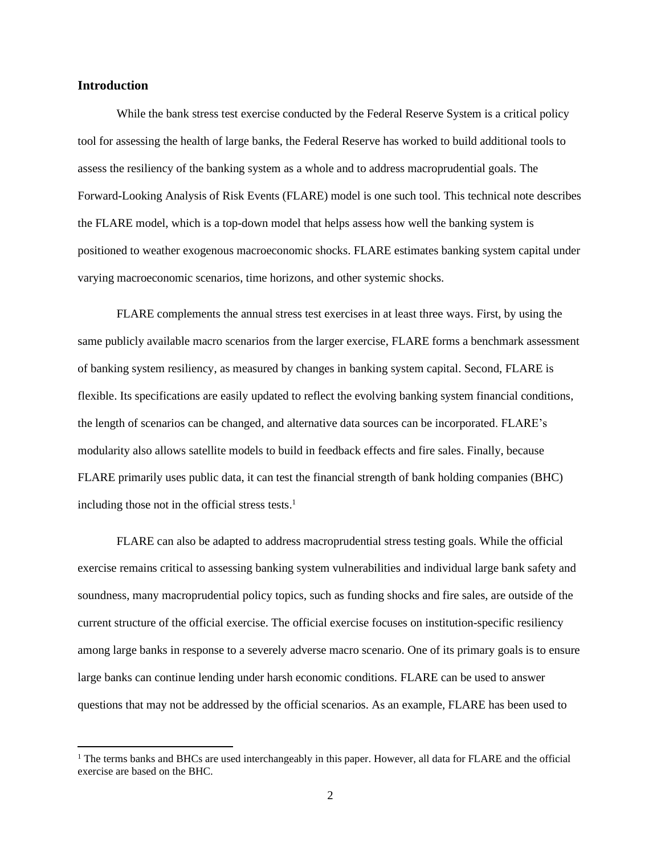## <span id="page-2-0"></span>**Introduction**

While the bank stress test exercise conducted by the Federal Reserve System is a critical policy tool for assessing the health of large banks, the Federal Reserve has worked to build additional tools to assess the resiliency of the banking system as a whole and to address macroprudential goals. The Forward-Looking Analysis of Risk Events (FLARE) model is one such tool. This technical note describes the FLARE model, which is a top-down model that helps assess how well the banking system is positioned to weather exogenous macroeconomic shocks. FLARE estimates banking system capital under varying macroeconomic scenarios, time horizons, and other systemic shocks.

FLARE complements the annual stress test exercises in at least three ways. First, by using the same publicly available macro scenarios from the larger exercise, FLARE forms a benchmark assessment of banking system resiliency, as measured by changes in banking system capital. Second, FLARE is flexible. Its specifications are easily updated to reflect the evolving banking system financial conditions, the length of scenarios can be changed, and alternative data sources can be incorporated. FLARE's modularity also allows satellite models to build in feedback effects and fire sales. Finally, because FLARE primarily uses public data, it can test the financial strength of bank holding companies (BHC) including those not in the official stress tests. 1

FLARE can also be adapted to address macroprudential stress testing goals. While the official exercise remains critical to assessing banking system vulnerabilities and individual large bank safety and soundness, many macroprudential policy topics, such as funding shocks and fire sales, are outside of the current structure of the official exercise. The official exercise focuses on institution-specific resiliency among large banks in response to a severely adverse macro scenario. One of its primary goals is to ensure large banks can continue lending under harsh economic conditions. FLARE can be used to answer questions that may not be addressed by the official scenarios. As an example, FLARE has been used to

<sup>&</sup>lt;sup>1</sup> The terms banks and BHCs are used interchangeably in this paper. However, all data for FLARE and the official exercise are based on the BHC.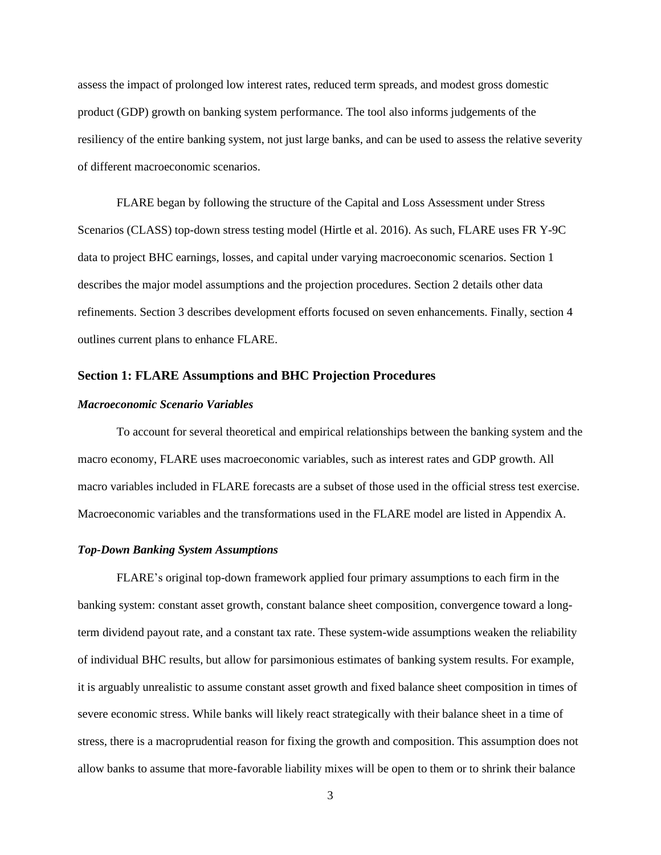assess the impact of prolonged low interest rates, reduced term spreads, and modest gross domestic product (GDP) growth on banking system performance. The tool also informs judgements of the resiliency of the entire banking system, not just large banks, and can be used to assess the relative severity of different macroeconomic scenarios.

FLARE began by following the structure of the Capital and Loss Assessment under Stress Scenarios (CLASS) top-down stress testing model (Hirtle et al. 2016). As such, FLARE uses FR Y-9C data to project BHC earnings, losses, and capital under varying macroeconomic scenarios. Section 1 describes the major model assumptions and the projection procedures. Section 2 details other data refinements. Section 3 describes development efforts focused on seven enhancements. Finally, section 4 outlines current plans to enhance FLARE.

#### <span id="page-3-0"></span>**Section 1: FLARE Assumptions and BHC Projection Procedures**

#### <span id="page-3-1"></span>*Macroeconomic Scenario Variables*

To account for several theoretical and empirical relationships between the banking system and the macro economy, FLARE uses macroeconomic variables, such as interest rates and GDP growth. All macro variables included in FLARE forecasts are a subset of those used in the official stress test exercise. Macroeconomic variables and the transformations used in the FLARE model are listed in Appendix A.

#### <span id="page-3-2"></span>*Top-Down Banking System Assumptions*

FLARE's original top-down framework applied four primary assumptions to each firm in the banking system: constant asset growth, constant balance sheet composition, convergence toward a longterm dividend payout rate, and a constant tax rate. These system-wide assumptions weaken the reliability of individual BHC results, but allow for parsimonious estimates of banking system results. For example, it is arguably unrealistic to assume constant asset growth and fixed balance sheet composition in times of severe economic stress. While banks will likely react strategically with their balance sheet in a time of stress, there is a macroprudential reason for fixing the growth and composition. This assumption does not allow banks to assume that more-favorable liability mixes will be open to them or to shrink their balance

3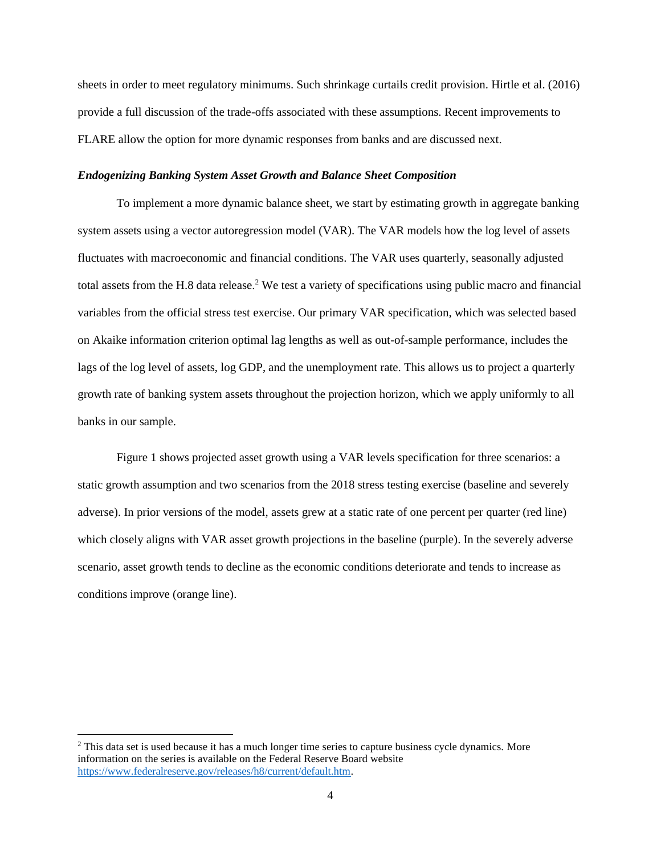sheets in order to meet regulatory minimums. Such shrinkage curtails credit provision. Hirtle et al. (2016) provide a full discussion of the trade-offs associated with these assumptions. Recent improvements to FLARE allow the option for more dynamic responses from banks and are discussed next.

#### <span id="page-4-0"></span>*Endogenizing Banking System Asset Growth and Balance Sheet Composition*

To implement a more dynamic balance sheet, we start by estimating growth in aggregate banking system assets using a vector autoregression model (VAR). The VAR models how the log level of assets fluctuates with macroeconomic and financial conditions. The VAR uses quarterly, seasonally adjusted total assets from the H.8 data release.<sup>2</sup> We test a variety of specifications using public macro and financial variables from the official stress test exercise. Our primary VAR specification, which was selected based on Akaike information criterion optimal lag lengths as well as out-of-sample performance, includes the lags of the log level of assets, log GDP, and the unemployment rate. This allows us to project a quarterly growth rate of banking system assets throughout the projection horizon, which we apply uniformly to all banks in our sample.

Figure 1 shows projected asset growth using a VAR levels specification for three scenarios: a static growth assumption and two scenarios from the 2018 stress testing exercise (baseline and severely adverse). In prior versions of the model, assets grew at a static rate of one percent per quarter (red line) which closely aligns with VAR asset growth projections in the baseline (purple). In the severely adverse scenario, asset growth tends to decline as the economic conditions deteriorate and tends to increase as conditions improve (orange line).

<sup>&</sup>lt;sup>2</sup> This data set is used because it has a much longer time series to capture business cycle dynamics. More information on the series is available on the Federal Reserve Board website [https://www.federalreserve.gov/releases/h8/current/default.htm.](https://www.federalreserve.gov/releases/h8/current/default.htm)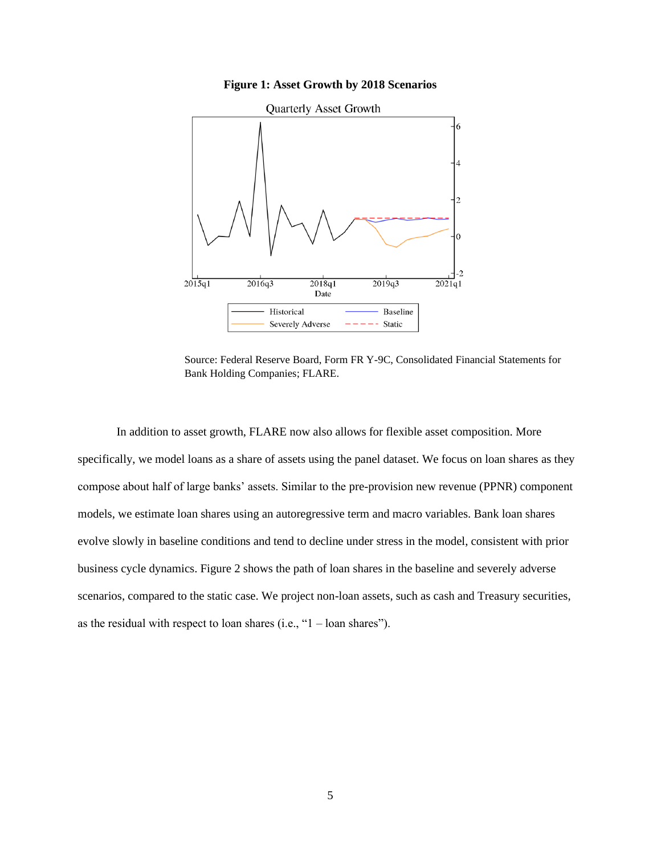**Figure 1: Asset Growth by 2018 Scenarios**



Source: Federal Reserve Board, Form FR Y-9C, Consolidated Financial Statements for Bank Holding Companies; FLARE.

In addition to asset growth, FLARE now also allows for flexible asset composition. More specifically, we model loans as a share of assets using the panel dataset. We focus on loan shares as they compose about half of large banks' assets. Similar to the pre-provision new revenue (PPNR) component models, we estimate loan shares using an autoregressive term and macro variables. Bank loan shares evolve slowly in baseline conditions and tend to decline under stress in the model, consistent with prior business cycle dynamics. Figure 2 shows the path of loan shares in the baseline and severely adverse scenarios, compared to the static case. We project non-loan assets, such as cash and Treasury securities, as the residual with respect to loan shares (i.e., "1 – loan shares").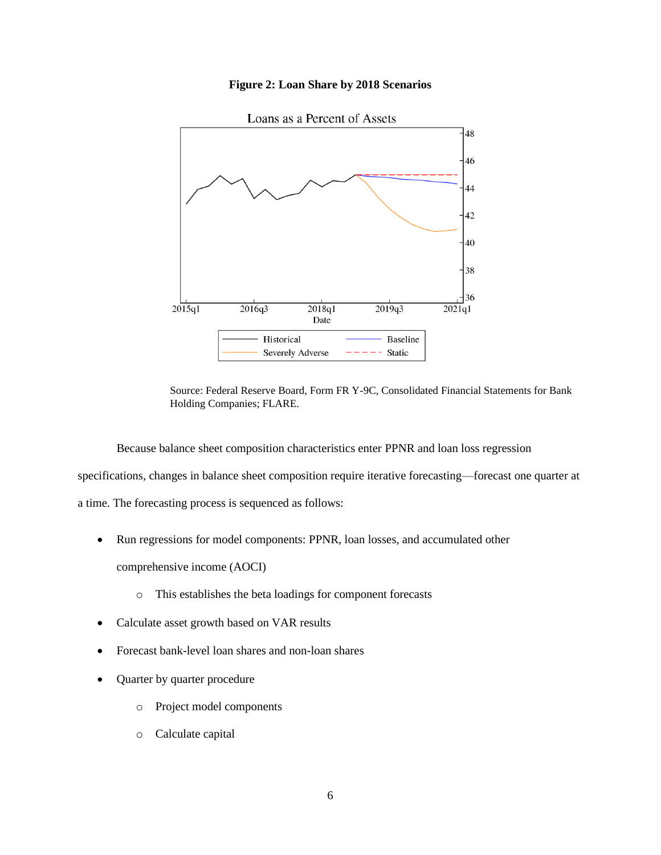## **Figure 2: Loan Share by 2018 Scenarios**



Source: Federal Reserve Board, Form FR Y-9C, Consolidated Financial Statements for Bank Holding Companies; FLARE.

Because balance sheet composition characteristics enter PPNR and loan loss regression specifications, changes in balance sheet composition require iterative forecasting—forecast one quarter at a time. The forecasting process is sequenced as follows:

- Run regressions for model components: PPNR, loan losses, and accumulated other comprehensive income (AOCI)
	- o This establishes the beta loadings for component forecasts
- Calculate asset growth based on VAR results
- Forecast bank-level loan shares and non-loan shares
- Quarter by quarter procedure
	- o Project model components
	- o Calculate capital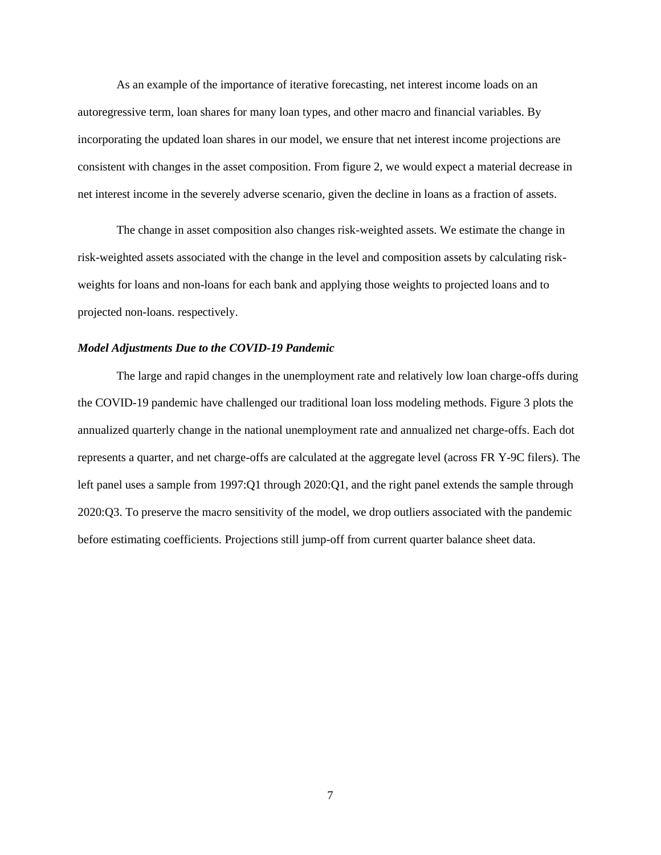As an example of the importance of iterative forecasting, net interest income loads on an autoregressive term, loan shares for many loan types, and other macro and financial variables. By incorporating the updated loan shares in our model, we ensure that net interest income projections are consistent with changes in the asset composition. From figure 2, we would expect a material decrease in net interest income in the severely adverse scenario, given the decline in loans as a fraction of assets.

The change in asset composition also changes risk-weighted assets. We estimate the change in risk-weighted assets associated with the change in the level and composition assets by calculating riskweights for loans and non-loans for each bank and applying those weights to projected loans and to projected non-loans. respectively.

#### <span id="page-7-0"></span>*Model Adjustments Due to the COVID-19 Pandemic*

The large and rapid changes in the unemployment rate and relatively low loan charge-offs during the COVID-19 pandemic have challenged our traditional loan loss modeling methods. Figure 3 plots the annualized quarterly change in the national unemployment rate and annualized net charge-offs. Each dot represents a quarter, and net charge-offs are calculated at the aggregate level (across FR Y-9C filers). The left panel uses a sample from 1997:Q1 through 2020:Q1, and the right panel extends the sample through 2020:Q3. To preserve the macro sensitivity of the model, we drop outliers associated with the pandemic before estimating coefficients. Projections still jump-off from current quarter balance sheet data.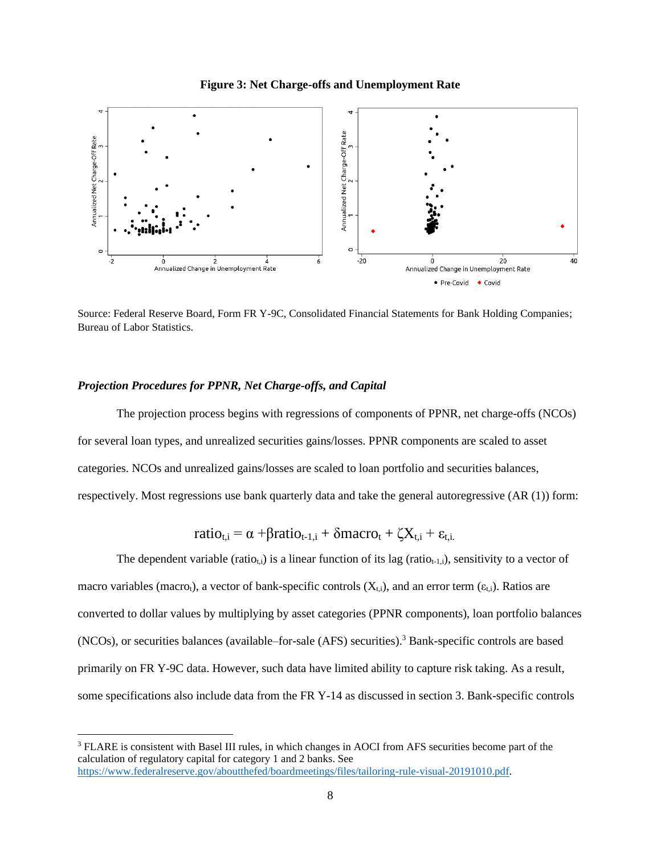



Source: Federal Reserve Board, Form FR Y-9C, Consolidated Financial Statements for Bank Holding Companies; Bureau of Labor Statistics.

## <span id="page-8-0"></span>*Projection Procedures for PPNR, Net Charge-offs, and Capital*

The projection process begins with regressions of components of PPNR, net charge-offs (NCOs) for several loan types, and unrealized securities gains/losses. PPNR components are scaled to asset categories. NCOs and unrealized gains/losses are scaled to loan portfolio and securities balances, respectively. Most regressions use bank quarterly data and take the general autoregressive (AR (1)) form:

$$
ratio_{t,i} = \alpha + \beta ratio_{t-1,i} + \delta macro_t + \zeta X_{t,i} + \epsilon_{t,i}
$$

The dependent variable (ratio<sub>ti</sub>) is a linear function of its lag (ratio<sub>t-1,i</sub>), sensitivity to a vector of macro variables (macro<sub>t</sub>), a vector of bank-specific controls ( $X_{t,i}$ ), and an error term ( $\varepsilon_{t,i}$ ). Ratios are converted to dollar values by multiplying by asset categories (PPNR components), loan portfolio balances (NCOs), or securities balances (available–for-sale (AFS) securities). <sup>3</sup> Bank-specific controls are based primarily on FR Y-9C data. However, such data have limited ability to capture risk taking. As a result, some specifications also include data from the FR Y-14 as discussed in section 3. Bank-specific controls

<sup>3</sup> FLARE is consistent with Basel III rules, in which changes in AOCI from AFS securities become part of the calculation of regulatory capital for category 1 and 2 banks. See [https://www.federalreserve.gov/aboutthefed/boardmeetings/files/tailoring-rule-visual-20191010.pdf.](https://www.federalreserve.gov/aboutthefed/boardmeetings/files/tailoring-rule-visual-20191010.pdf)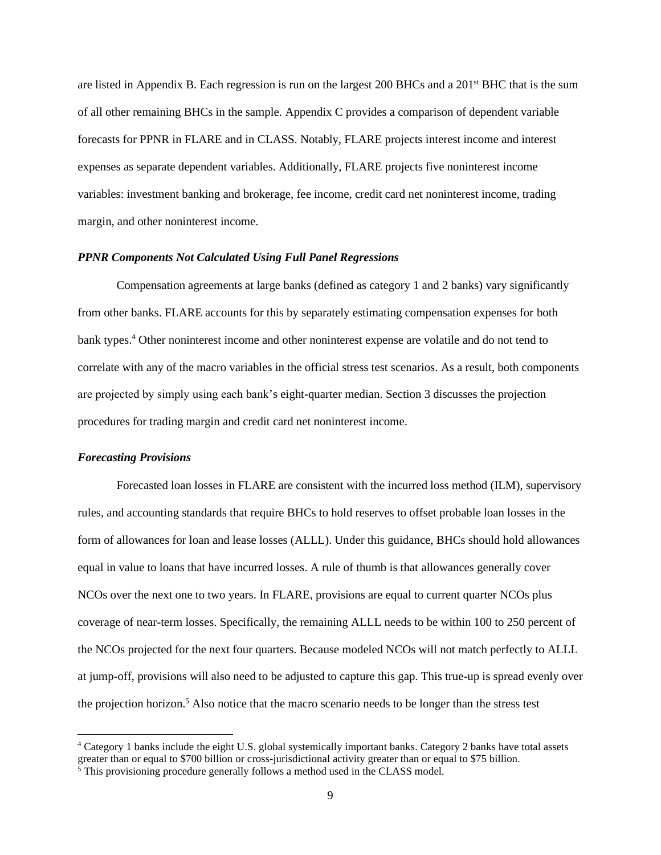are listed in Appendix B. Each regression is run on the largest 200 BHCs and a 201st BHC that is the sum of all other remaining BHCs in the sample. Appendix C provides a comparison of dependent variable forecasts for PPNR in FLARE and in CLASS. Notably, FLARE projects interest income and interest expenses as separate dependent variables. Additionally, FLARE projects five noninterest income variables: investment banking and brokerage, fee income, credit card net noninterest income, trading margin, and other noninterest income.

#### <span id="page-9-0"></span>*PPNR Components Not Calculated Using Full Panel Regressions*

Compensation agreements at large banks (defined as category 1 and 2 banks) vary significantly from other banks. FLARE accounts for this by separately estimating compensation expenses for both bank types.<sup>4</sup> Other noninterest income and other noninterest expense are volatile and do not tend to correlate with any of the macro variables in the official stress test scenarios. As a result, both components are projected by simply using each bank's eight-quarter median. Section 3 discusses the projection procedures for trading margin and credit card net noninterest income.

## <span id="page-9-1"></span>*Forecasting Provisions*

Forecasted loan losses in FLARE are consistent with the incurred loss method (ILM), supervisory rules, and accounting standards that require BHCs to hold reserves to offset probable loan losses in the form of allowances for loan and lease losses (ALLL). Under this guidance, BHCs should hold allowances equal in value to loans that have incurred losses. A rule of thumb is that allowances generally cover NCOs over the next one to two years. In FLARE, provisions are equal to current quarter NCOs plus coverage of near-term losses. Specifically, the remaining ALLL needs to be within 100 to 250 percent of the NCOs projected for the next four quarters. Because modeled NCOs will not match perfectly to ALLL at jump-off, provisions will also need to be adjusted to capture this gap. This true-up is spread evenly over the projection horizon.<sup>5</sup> Also notice that the macro scenario needs to be longer than the stress test

<sup>4</sup> Category 1 banks include the eight U.S. global systemically important banks. Category 2 banks have total assets greater than or equal to \$700 billion or cross-jurisdictional activity greater than or equal to \$75 billion.

 $5$  This provisioning procedure generally follows a method used in the CLASS model.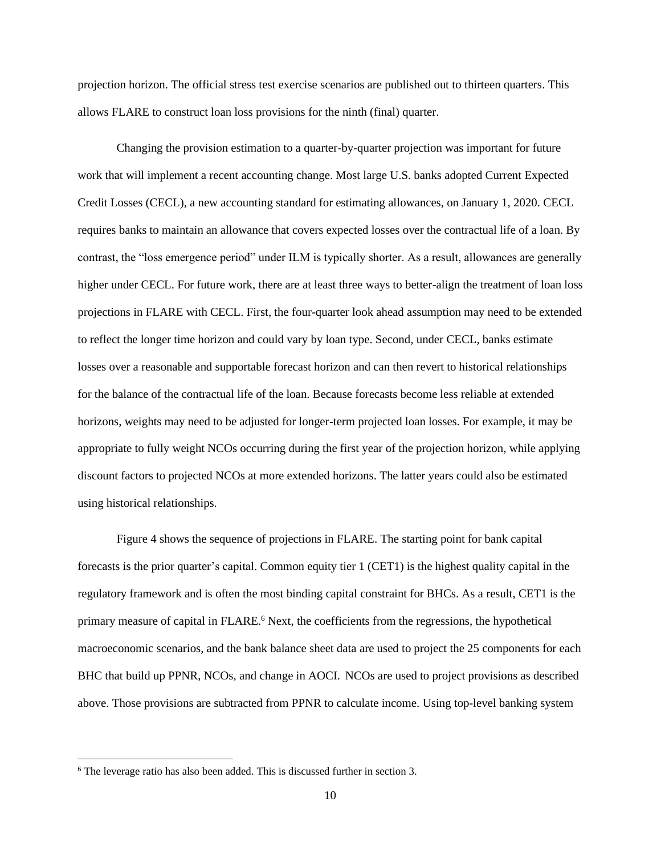projection horizon. The official stress test exercise scenarios are published out to thirteen quarters. This allows FLARE to construct loan loss provisions for the ninth (final) quarter.

Changing the provision estimation to a quarter-by-quarter projection was important for future work that will implement a recent accounting change. Most large U.S. banks adopted Current Expected Credit Losses (CECL), a new accounting standard for estimating allowances, on January 1, 2020. CECL requires banks to maintain an allowance that covers expected losses over the contractual life of a loan. By contrast, the "loss emergence period" under ILM is typically shorter. As a result, allowances are generally higher under CECL. For future work, there are at least three ways to better-align the treatment of loan loss projections in FLARE with CECL. First, the four-quarter look ahead assumption may need to be extended to reflect the longer time horizon and could vary by loan type. Second, under CECL, banks estimate losses over a reasonable and supportable forecast horizon and can then revert to historical relationships for the balance of the contractual life of the loan. Because forecasts become less reliable at extended horizons, weights may need to be adjusted for longer-term projected loan losses. For example, it may be appropriate to fully weight NCOs occurring during the first year of the projection horizon, while applying discount factors to projected NCOs at more extended horizons. The latter years could also be estimated using historical relationships.

Figure 4 shows the sequence of projections in FLARE. The starting point for bank capital forecasts is the prior quarter's capital. Common equity tier 1 (CET1) is the highest quality capital in the regulatory framework and is often the most binding capital constraint for BHCs. As a result, CET1 is the primary measure of capital in FLARE.<sup>6</sup> Next, the coefficients from the regressions, the hypothetical macroeconomic scenarios, and the bank balance sheet data are used to project the 25 components for each BHC that build up PPNR, NCOs, and change in AOCI. NCOs are used to project provisions as described above. Those provisions are subtracted from PPNR to calculate income. Using top-level banking system

<sup>6</sup> The leverage ratio has also been added. This is discussed further in section 3.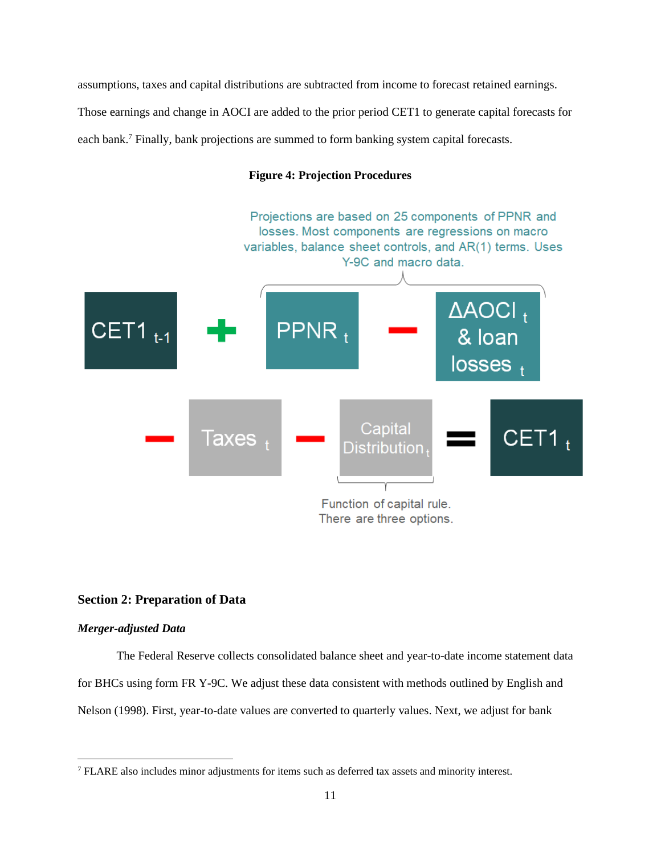assumptions, taxes and capital distributions are subtracted from income to forecast retained earnings. Those earnings and change in AOCI are added to the prior period CET1 to generate capital forecasts for each bank.<sup>7</sup> Finally, bank projections are summed to form banking system capital forecasts.

## **Figure 4: Projection Procedures**



## <span id="page-11-0"></span>**Section 2: Preparation of Data**

#### <span id="page-11-1"></span>*Merger-adjusted Data*

The Federal Reserve collects consolidated balance sheet and year-to-date income statement data for BHCs using form FR Y-9C. We adjust these data consistent with methods outlined by English and Nelson (1998). First, year-to-date values are converted to quarterly values. Next, we adjust for bank

<sup>7</sup> FLARE also includes minor adjustments for items such as deferred tax assets and minority interest.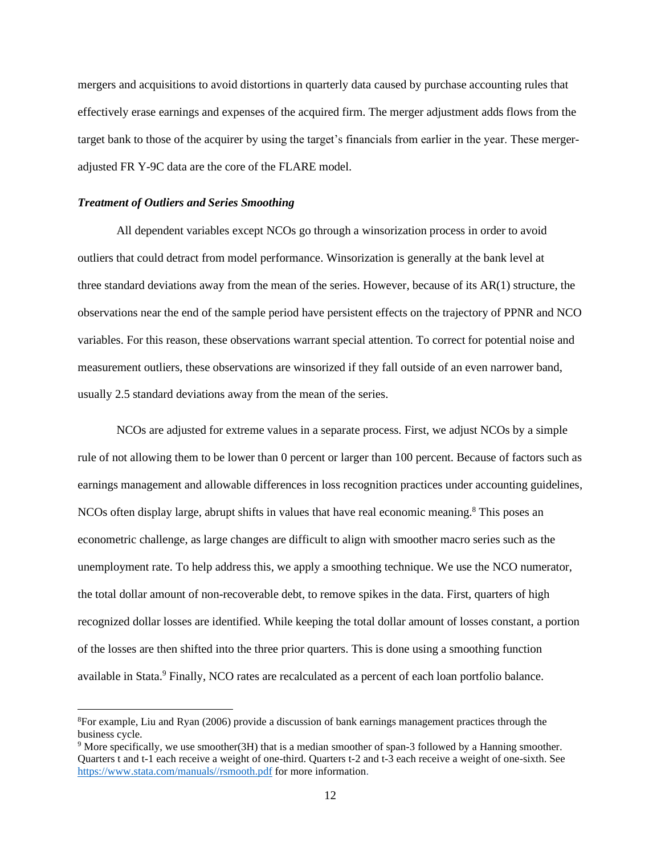mergers and acquisitions to avoid distortions in quarterly data caused by purchase accounting rules that effectively erase earnings and expenses of the acquired firm. The merger adjustment adds flows from the target bank to those of the acquirer by using the target's financials from earlier in the year. These mergeradjusted FR Y-9C data are the core of the FLARE model.

#### <span id="page-12-0"></span>*Treatment of Outliers and Series Smoothing*

All dependent variables except NCOs go through a winsorization process in order to avoid outliers that could detract from model performance. Winsorization is generally at the bank level at three standard deviations away from the mean of the series. However, because of its AR(1) structure, the observations near the end of the sample period have persistent effects on the trajectory of PPNR and NCO variables. For this reason, these observations warrant special attention. To correct for potential noise and measurement outliers, these observations are winsorized if they fall outside of an even narrower band, usually 2.5 standard deviations away from the mean of the series.

NCOs are adjusted for extreme values in a separate process. First, we adjust NCOs by a simple rule of not allowing them to be lower than 0 percent or larger than 100 percent. Because of factors such as earnings management and allowable differences in loss recognition practices under accounting guidelines, NCOs often display large, abrupt shifts in values that have real economic meaning.<sup>8</sup> This poses an econometric challenge, as large changes are difficult to align with smoother macro series such as the unemployment rate. To help address this, we apply a smoothing technique. We use the NCO numerator, the total dollar amount of non-recoverable debt, to remove spikes in the data. First, quarters of high recognized dollar losses are identified. While keeping the total dollar amount of losses constant, a portion of the losses are then shifted into the three prior quarters. This is done using a smoothing function available in Stata.<sup>9</sup> Finally, NCO rates are recalculated as a percent of each loan portfolio balance.

<sup>8</sup>For example, Liu and Ryan (2006) provide a discussion of bank earnings management practices through the business cycle.

<sup>&</sup>lt;sup>9</sup> More specifically, we use smoother(3H) that is a median smoother of span-3 followed by a Hanning smoother. Quarters t and t-1 each receive a weight of one-third. Quarters t-2 and t-3 each receive a weight of one-sixth. See [https://www.stata.com/manuals//rsmooth.pdf](https://www.stata.com/manuals/rsmooth.pdf) for more information.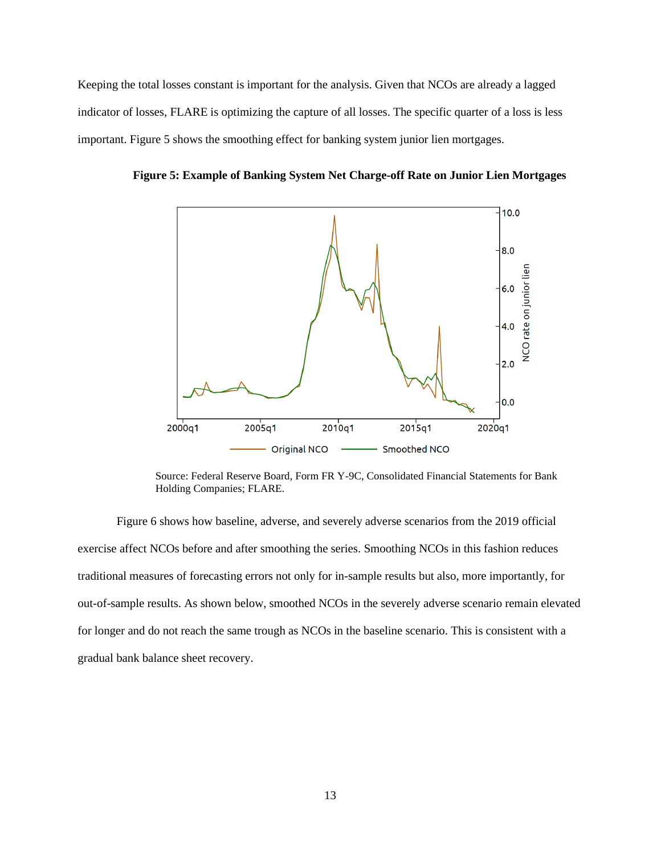Keeping the total losses constant is important for the analysis. Given that NCOs are already a lagged indicator of losses, FLARE is optimizing the capture of all losses. The specific quarter of a loss is less important. Figure 5 shows the smoothing effect for banking system junior lien mortgages.



**Figure 5: Example of Banking System Net Charge-off Rate on Junior Lien Mortgages**

Source: Federal Reserve Board, Form FR Y-9C, Consolidated Financial Statements for Bank Holding Companies; FLARE.

Figure 6 shows how baseline, adverse, and severely adverse scenarios from the 2019 official exercise affect NCOs before and after smoothing the series. Smoothing NCOs in this fashion reduces traditional measures of forecasting errors not only for in-sample results but also, more importantly, for out-of-sample results. As shown below, smoothed NCOs in the severely adverse scenario remain elevated for longer and do not reach the same trough as NCOs in the baseline scenario. This is consistent with a gradual bank balance sheet recovery.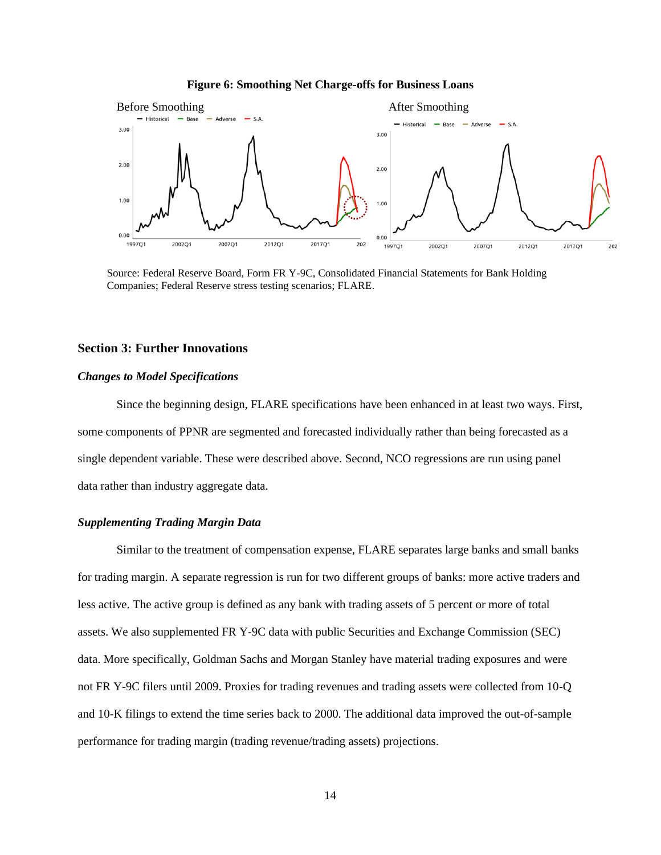#### **Figure 6: Smoothing Net Charge-offs for Business Loans**



Source: Federal Reserve Board, Form FR Y-9C, Consolidated Financial Statements for Bank Holding Companies; Federal Reserve stress testing scenarios; FLARE.

### <span id="page-14-0"></span>**Section 3: Further Innovations**

#### <span id="page-14-1"></span>*Changes to Model Specifications*

Since the beginning design, FLARE specifications have been enhanced in at least two ways. First, some components of PPNR are segmented and forecasted individually rather than being forecasted as a single dependent variable. These were described above. Second, NCO regressions are run using panel data rather than industry aggregate data.

## <span id="page-14-2"></span>*Supplementing Trading Margin Data*

Similar to the treatment of compensation expense, FLARE separates large banks and small banks for trading margin. A separate regression is run for two different groups of banks: more active traders and less active. The active group is defined as any bank with trading assets of 5 percent or more of total assets. We also supplemented FR Y-9C data with public Securities and Exchange Commission (SEC) data. More specifically, Goldman Sachs and Morgan Stanley have material trading exposures and were not FR Y-9C filers until 2009. Proxies for trading revenues and trading assets were collected from 10-Q and 10-K filings to extend the time series back to 2000. The additional data improved the out-of-sample performance for trading margin (trading revenue/trading assets) projections.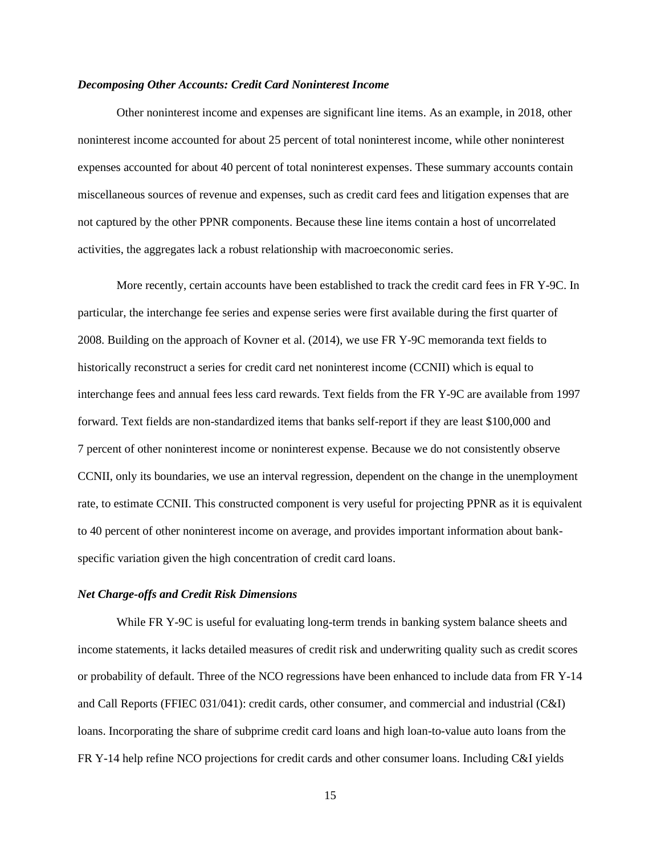#### <span id="page-15-0"></span>*Decomposing Other Accounts: Credit Card Noninterest Income*

Other noninterest income and expenses are significant line items. As an example, in 2018, other noninterest income accounted for about 25 percent of total noninterest income, while other noninterest expenses accounted for about 40 percent of total noninterest expenses. These summary accounts contain miscellaneous sources of revenue and expenses, such as credit card fees and litigation expenses that are not captured by the other PPNR components. Because these line items contain a host of uncorrelated activities, the aggregates lack a robust relationship with macroeconomic series.

More recently, certain accounts have been established to track the credit card fees in FR Y-9C. In particular, the interchange fee series and expense series were first available during the first quarter of 2008. Building on the approach of Kovner et al. (2014), we use FR Y-9C memoranda text fields to historically reconstruct a series for credit card net noninterest income (CCNII) which is equal to interchange fees and annual fees less card rewards. Text fields from the FR Y-9C are available from 1997 forward. Text fields are non-standardized items that banks self-report if they are least \$100,000 and 7 percent of other noninterest income or noninterest expense. Because we do not consistently observe CCNII, only its boundaries, we use an interval regression, dependent on the change in the unemployment rate, to estimate CCNII. This constructed component is very useful for projecting PPNR as it is equivalent to 40 percent of other noninterest income on average, and provides important information about bankspecific variation given the high concentration of credit card loans.

#### <span id="page-15-1"></span>*Net Charge-offs and Credit Risk Dimensions*

While FR Y-9C is useful for evaluating long-term trends in banking system balance sheets and income statements, it lacks detailed measures of credit risk and underwriting quality such as credit scores or probability of default. Three of the NCO regressions have been enhanced to include data from FR Y-14 and Call Reports (FFIEC 031/041): credit cards, other consumer, and commercial and industrial (C&I) loans. Incorporating the share of subprime credit card loans and high loan-to-value auto loans from the FR Y-14 help refine NCO projections for credit cards and other consumer loans. Including C&I yields

15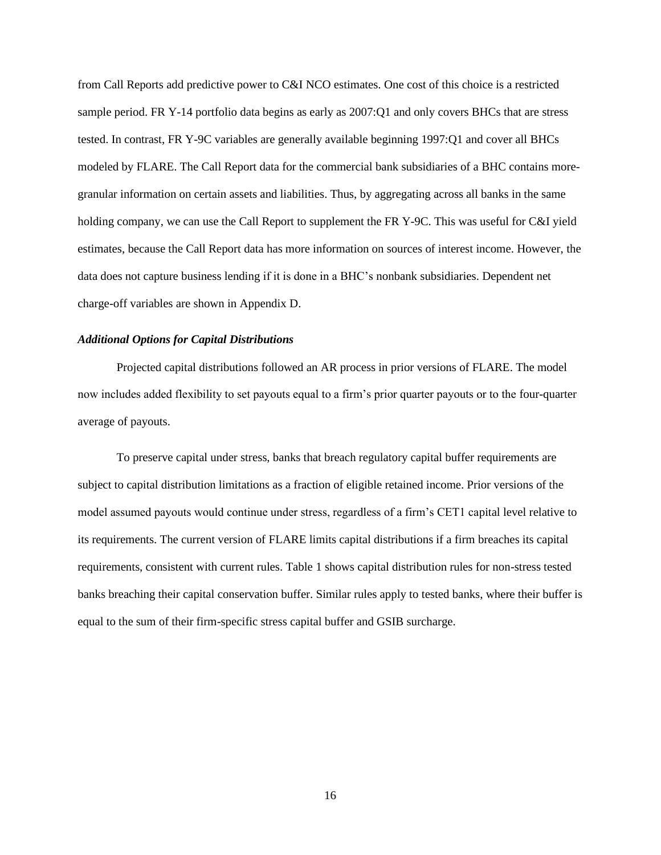from Call Reports add predictive power to C&I NCO estimates. One cost of this choice is a restricted sample period. FR Y-14 portfolio data begins as early as 2007:Q1 and only covers BHCs that are stress tested. In contrast, FR Y-9C variables are generally available beginning 1997:Q1 and cover all BHCs modeled by FLARE. The Call Report data for the commercial bank subsidiaries of a BHC contains moregranular information on certain assets and liabilities. Thus, by aggregating across all banks in the same holding company, we can use the Call Report to supplement the FR Y-9C. This was useful for C&I yield estimates, because the Call Report data has more information on sources of interest income. However, the data does not capture business lending if it is done in a BHC's nonbank subsidiaries. Dependent net charge-off variables are shown in Appendix D.

#### <span id="page-16-0"></span>*Additional Options for Capital Distributions*

Projected capital distributions followed an AR process in prior versions of FLARE. The model now includes added flexibility to set payouts equal to a firm's prior quarter payouts or to the four-quarter average of payouts.

To preserve capital under stress, banks that breach regulatory capital buffer requirements are subject to capital distribution limitations as a fraction of eligible retained income. Prior versions of the model assumed payouts would continue under stress, regardless of a firm's CET1 capital level relative to its requirements. The current version of FLARE limits capital distributions if a firm breaches its capital requirements, consistent with current rules. Table 1 shows capital distribution rules for non-stress tested banks breaching their capital conservation buffer. Similar rules apply to tested banks, where their buffer is equal to the sum of their firm-specific stress capital buffer and GSIB surcharge.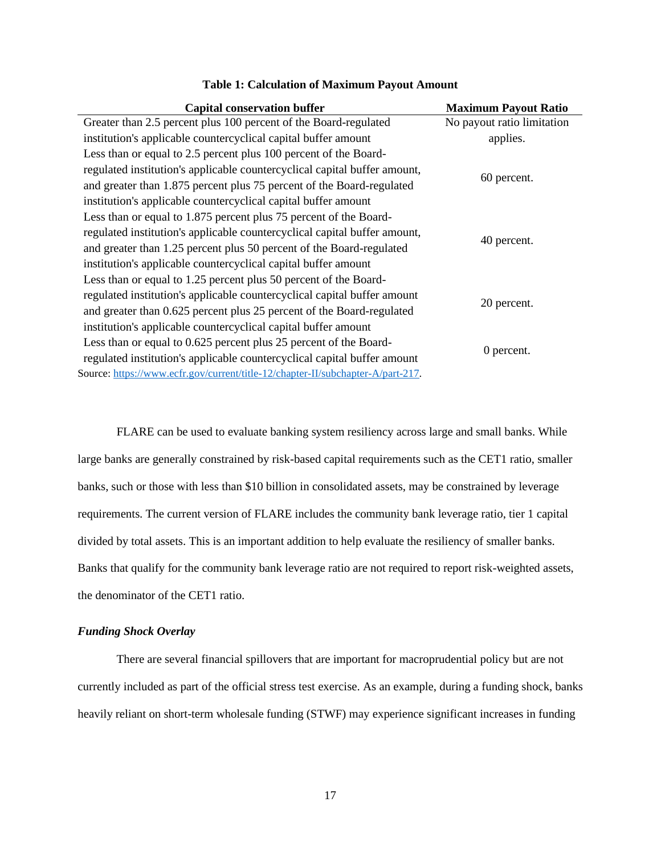| <b>Capital conservation buffer</b>                                              | <b>Maximum Payout Ratio</b> |
|---------------------------------------------------------------------------------|-----------------------------|
| Greater than 2.5 percent plus 100 percent of the Board-regulated                | No payout ratio limitation  |
| institution's applicable countercyclical capital buffer amount                  | applies.                    |
| Less than or equal to 2.5 percent plus 100 percent of the Board-                |                             |
| regulated institution's applicable countercyclical capital buffer amount,       |                             |
| and greater than 1.875 percent plus 75 percent of the Board-regulated           | 60 percent.                 |
| institution's applicable countercyclical capital buffer amount                  |                             |
| Less than or equal to 1.875 percent plus 75 percent of the Board-               |                             |
| regulated institution's applicable countercyclical capital buffer amount,       |                             |
| and greater than 1.25 percent plus 50 percent of the Board-regulated            | 40 percent.                 |
| institution's applicable countercyclical capital buffer amount                  |                             |
| Less than or equal to 1.25 percent plus 50 percent of the Board-                |                             |
| regulated institution's applicable countercyclical capital buffer amount        |                             |
| and greater than 0.625 percent plus 25 percent of the Board-regulated           | 20 percent.                 |
| institution's applicable countercyclical capital buffer amount                  |                             |
| Less than or equal to 0.625 percent plus 25 percent of the Board-               |                             |
| regulated institution's applicable countercyclical capital buffer amount        | 0 percent.                  |
| Source: https://www.ecfr.gov/current/title-12/chapter-II/subchapter-A/part-217. |                             |

#### **Table 1: Calculation of Maximum Payout Amount**

FLARE can be used to evaluate banking system resiliency across large and small banks. While large banks are generally constrained by risk-based capital requirements such as the CET1 ratio, smaller banks, such or those with less than \$10 billion in consolidated assets, may be constrained by leverage requirements. The current version of FLARE includes the community bank leverage ratio, tier 1 capital divided by total assets. This is an important addition to help evaluate the resiliency of smaller banks. Banks that qualify for the community bank leverage ratio are not required to report risk-weighted assets, the denominator of the CET1 ratio.

## <span id="page-17-0"></span>*Funding Shock Overlay*

There are several financial spillovers that are important for macroprudential policy but are not currently included as part of the official stress test exercise. As an example, during a funding shock, banks heavily reliant on short-term wholesale funding (STWF) may experience significant increases in funding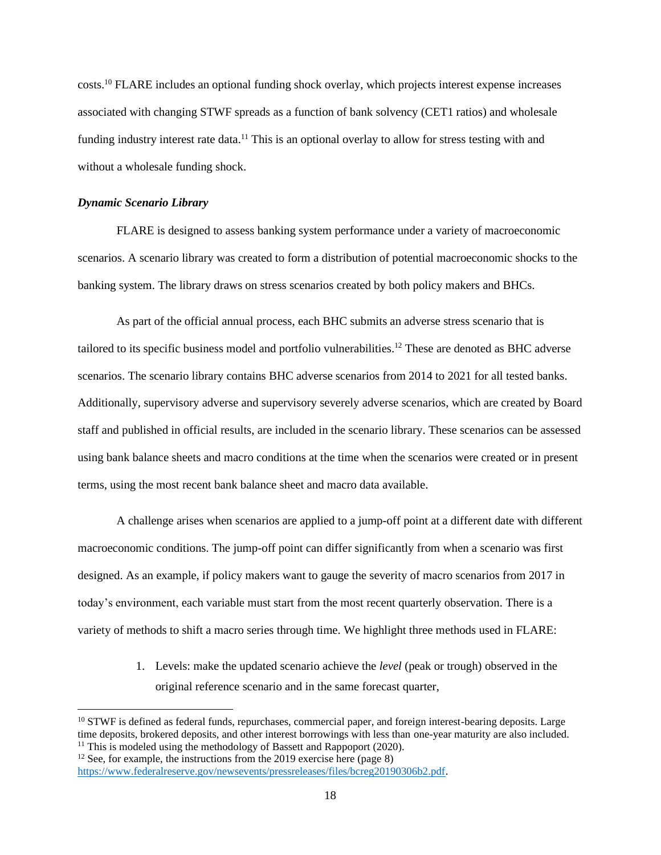costs.<sup>10</sup> FLARE includes an optional funding shock overlay, which projects interest expense increases associated with changing STWF spreads as a function of bank solvency (CET1 ratios) and wholesale funding industry interest rate data.<sup>11</sup> This is an optional overlay to allow for stress testing with and without a wholesale funding shock.

## <span id="page-18-0"></span>*Dynamic Scenario Library*

FLARE is designed to assess banking system performance under a variety of macroeconomic scenarios. A scenario library was created to form a distribution of potential macroeconomic shocks to the banking system. The library draws on stress scenarios created by both policy makers and BHCs.

As part of the official annual process, each BHC submits an adverse stress scenario that is tailored to its specific business model and portfolio vulnerabilities.<sup>12</sup> These are denoted as BHC adverse scenarios. The scenario library contains BHC adverse scenarios from 2014 to 2021 for all tested banks. Additionally, supervisory adverse and supervisory severely adverse scenarios, which are created by Board staff and published in official results, are included in the scenario library. These scenarios can be assessed using bank balance sheets and macro conditions at the time when the scenarios were created or in present terms, using the most recent bank balance sheet and macro data available.

A challenge arises when scenarios are applied to a jump-off point at a different date with different macroeconomic conditions. The jump-off point can differ significantly from when a scenario was first designed. As an example, if policy makers want to gauge the severity of macro scenarios from 2017 in today's environment, each variable must start from the most recent quarterly observation. There is a variety of methods to shift a macro series through time. We highlight three methods used in FLARE:

> 1. Levels: make the updated scenario achieve the *level* (peak or trough) observed in the original reference scenario and in the same forecast quarter,

 $10$  STWF is defined as federal funds, repurchases, commercial paper, and foreign interest-bearing deposits. Large time deposits, brokered deposits, and other interest borrowings with less than one-year maturity are also included. <sup>11</sup> This is modeled using the methodology of Bassett and Rappoport (2020).

 $12$  See, for example, the instructions from the 2019 exercise here (page 8)

[https://www.federalreserve.gov/newsevents/pressreleases/files/bcreg20190306b2.pdf.](https://www.federalreserve.gov/newsevents/pressreleases/files/bcreg20190306b2.pdf)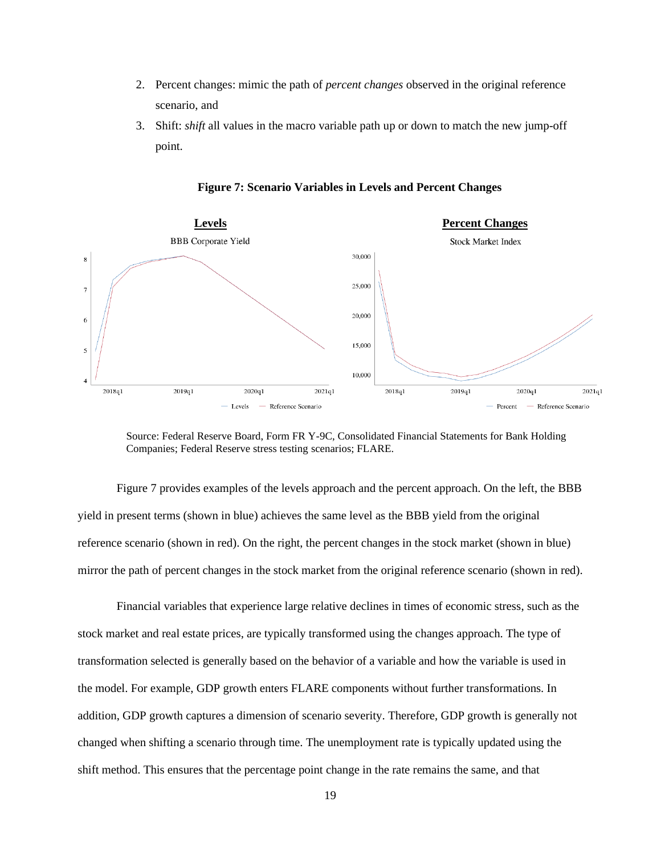- 2. Percent changes: mimic the path of *percent changes* observed in the original reference scenario, and
- 3. Shift: *shift* all values in the macro variable path up or down to match the new jump-off point.



**Figure 7: Scenario Variables in Levels and Percent Changes**

Figure 7 provides examples of the levels approach and the percent approach. On the left, the BBB yield in present terms (shown in blue) achieves the same level as the BBB yield from the original reference scenario (shown in red). On the right, the percent changes in the stock market (shown in blue) mirror the path of percent changes in the stock market from the original reference scenario (shown in red).

Financial variables that experience large relative declines in times of economic stress, such as the stock market and real estate prices, are typically transformed using the changes approach. The type of transformation selected is generally based on the behavior of a variable and how the variable is used in the model. For example, GDP growth enters FLARE components without further transformations. In addition, GDP growth captures a dimension of scenario severity. Therefore, GDP growth is generally not changed when shifting a scenario through time. The unemployment rate is typically updated using the shift method. This ensures that the percentage point change in the rate remains the same, and that

Source: Federal Reserve Board, Form FR Y-9C, Consolidated Financial Statements for Bank Holding Companies; Federal Reserve stress testing scenarios; FLARE.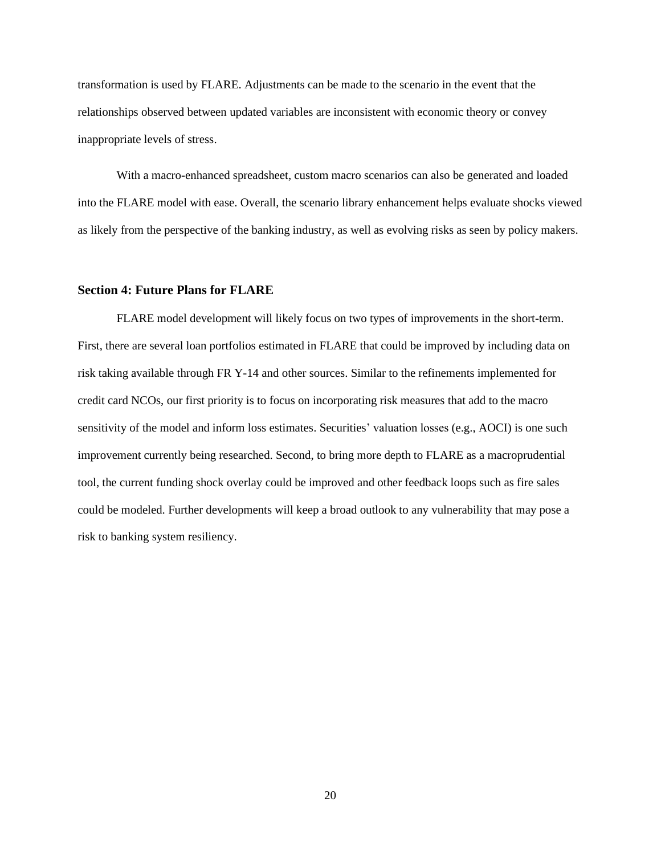transformation is used by FLARE. Adjustments can be made to the scenario in the event that the relationships observed between updated variables are inconsistent with economic theory or convey inappropriate levels of stress.

With a macro-enhanced spreadsheet, custom macro scenarios can also be generated and loaded into the FLARE model with ease. Overall, the scenario library enhancement helps evaluate shocks viewed as likely from the perspective of the banking industry, as well as evolving risks as seen by policy makers.

## <span id="page-20-0"></span>**Section 4: Future Plans for FLARE**

FLARE model development will likely focus on two types of improvements in the short-term. First, there are several loan portfolios estimated in FLARE that could be improved by including data on risk taking available through FR Y-14 and other sources. Similar to the refinements implemented for credit card NCOs, our first priority is to focus on incorporating risk measures that add to the macro sensitivity of the model and inform loss estimates. Securities' valuation losses (e.g., AOCI) is one such improvement currently being researched. Second, to bring more depth to FLARE as a macroprudential tool, the current funding shock overlay could be improved and other feedback loops such as fire sales could be modeled. Further developments will keep a broad outlook to any vulnerability that may pose a risk to banking system resiliency.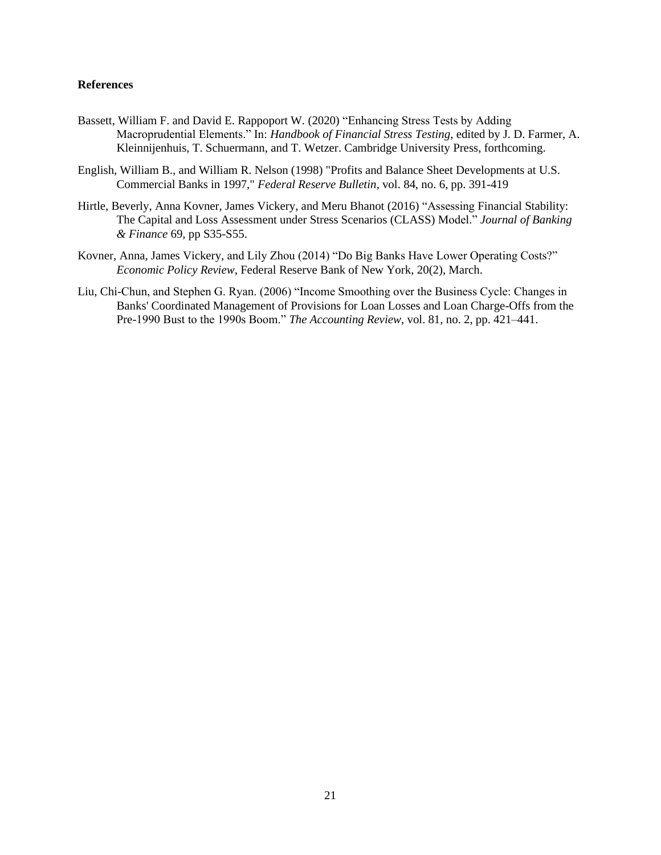#### **References**

- Bassett, William F. and David E. Rappoport W. (2020) "Enhancing Stress Tests by Adding Macroprudential Elements." In: *Handbook of Financial Stress Testing*, edited by J. D. Farmer, A. Kleinnijenhuis, T. Schuermann, and T. Wetzer. Cambridge University Press, forthcoming.
- English, William B., and William R. Nelson (1998) "Profits and Balance Sheet Developments at U.S. Commercial Banks in 1997," *Federal Reserve Bulletin*, vol. 84, no. 6, pp. 391-419
- Hirtle, Beverly, Anna Kovner, James Vickery, and Meru Bhanot (2016) "Assessing Financial Stability: The Capital and Loss Assessment under Stress Scenarios (CLASS) Model." *Journal of Banking & Finance* 69, pp S35-S55.
- Kovner, Anna, James Vickery, and Lily Zhou (2014) "Do Big Banks Have Lower Operating Costs?" *Economic Policy Review*, Federal Reserve Bank of New York, 20(2), March.
- Liu, Chi-Chun, and Stephen G. Ryan. (2006) "Income Smoothing over the Business Cycle: Changes in Banks' Coordinated Management of Provisions for Loan Losses and Loan Charge-Offs from the Pre-1990 Bust to the 1990s Boom." *The Accounting Review*, vol. 81, no. 2, pp. 421–441.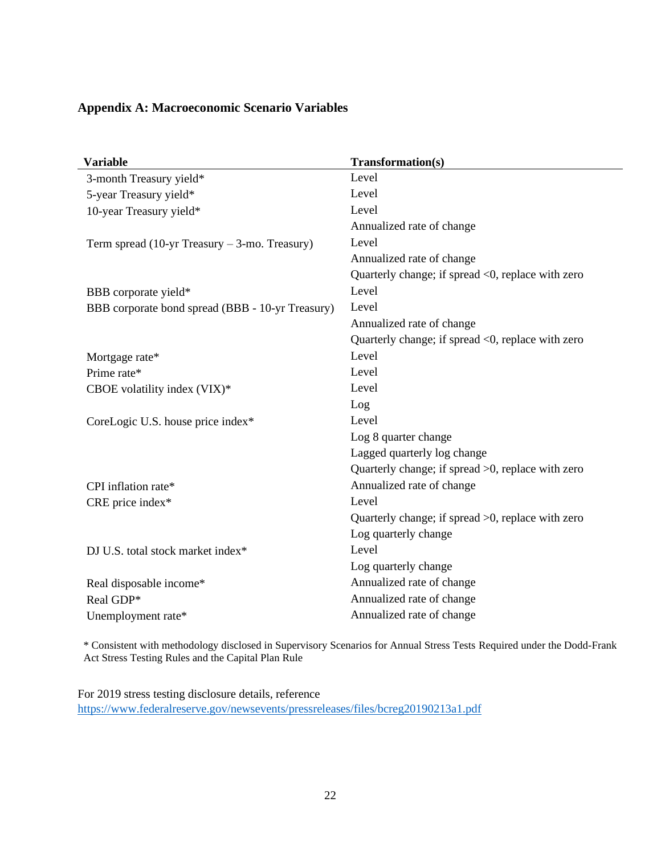## <span id="page-22-0"></span>**Appendix A: Macroeconomic Scenario Variables**

| <b>Variable</b>                                  | Transformation(s)                                 |
|--------------------------------------------------|---------------------------------------------------|
| 3-month Treasury yield*                          | Level                                             |
| 5-year Treasury yield*                           | Level                                             |
| 10-year Treasury yield*                          | Level                                             |
|                                                  | Annualized rate of change                         |
| Term spread (10-yr Treasury $-3$ -mo. Treasury)  | Level                                             |
|                                                  | Annualized rate of change                         |
|                                                  | Quarterly change; if spread <0, replace with zero |
| BBB corporate yield*                             | Level                                             |
| BBB corporate bond spread (BBB - 10-yr Treasury) | Level                                             |
|                                                  | Annualized rate of change                         |
|                                                  | Quarterly change; if spread <0, replace with zero |
| Mortgage rate*                                   | Level                                             |
| Prime rate*                                      | Level                                             |
| CBOE volatility index (VIX)*                     | Level                                             |
|                                                  | Log                                               |
| CoreLogic U.S. house price index*                | Level                                             |
|                                                  | Log 8 quarter change                              |
|                                                  | Lagged quarterly log change                       |
|                                                  | Quarterly change; if spread >0, replace with zero |
| CPI inflation rate*                              | Annualized rate of change                         |
| CRE price index*                                 | Level                                             |
|                                                  | Quarterly change; if spread >0, replace with zero |
|                                                  | Log quarterly change                              |
| DJ U.S. total stock market index*                | Level                                             |
|                                                  | Log quarterly change                              |
| Real disposable income*                          | Annualized rate of change                         |
| Real GDP*                                        | Annualized rate of change                         |
| Unemployment rate*                               | Annualized rate of change                         |

\* Consistent with methodology disclosed in Supervisory Scenarios for Annual Stress Tests Required under the Dodd-Frank Act Stress Testing Rules and the Capital Plan Rule

For 2019 stress testing disclosure details, reference <https://www.federalreserve.gov/newsevents/pressreleases/files/bcreg20190213a1.pdf>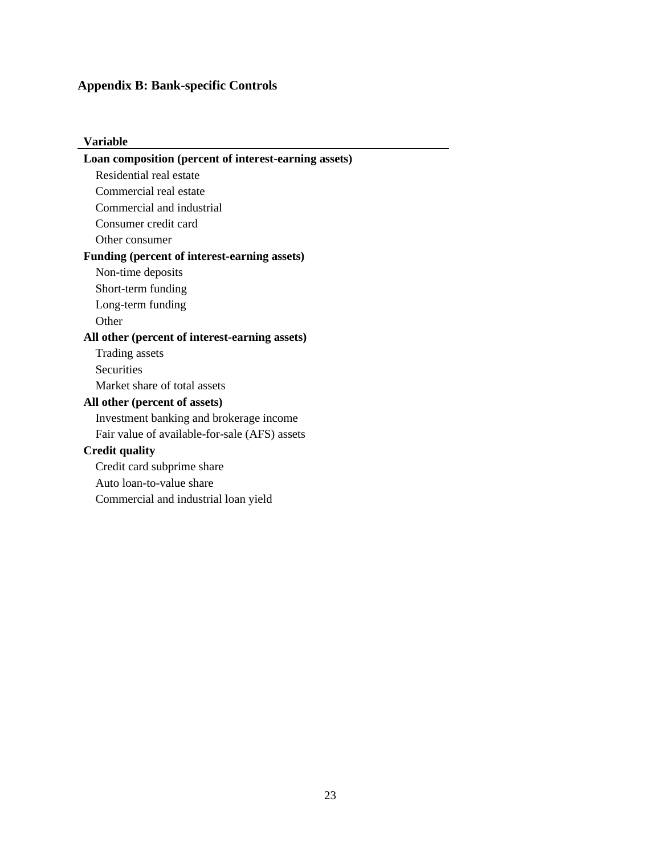# <span id="page-23-0"></span>**Appendix B: Bank-specific Controls**

| Variable                                              |
|-------------------------------------------------------|
| Loan composition (percent of interest-earning assets) |
| Residential real estate                               |
| Commercial real estate                                |
| Commercial and industrial                             |
| Consumer credit card                                  |
| Other consumer                                        |
| Funding (percent of interest-earning assets)          |
| Non-time deposits                                     |
| Short-term funding                                    |
| Long-term funding                                     |
| Other                                                 |
| All other (percent of interest-earning assets)        |
| <b>Trading assets</b>                                 |
| <b>Securities</b>                                     |
| Market share of total assets                          |
| All other (percent of assets)                         |
| Investment banking and brokerage income               |
| Fair value of available-for-sale (AFS) assets         |
| <b>Credit quality</b>                                 |
| Credit card subprime share                            |
| Auto loan-to-value share                              |
| Commercial and industrial loan yield                  |
|                                                       |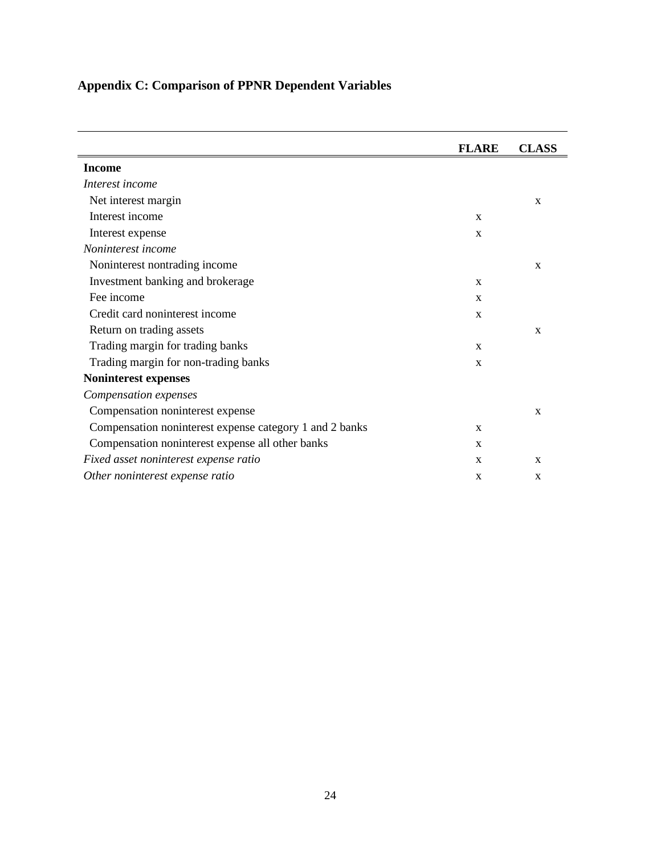<span id="page-24-0"></span>

|  |  |  |  | <b>Appendix C: Comparison of PPNR Dependent Variables</b> |  |
|--|--|--|--|-----------------------------------------------------------|--|
|--|--|--|--|-----------------------------------------------------------|--|

|                                                         | <b>FLARE</b> | <b>CLASS</b> |
|---------------------------------------------------------|--------------|--------------|
| Income                                                  |              |              |
| Interest income                                         |              |              |
| Net interest margin                                     |              | X            |
| Interest income                                         | $\mathbf{x}$ |              |
| Interest expense                                        | $\mathbf X$  |              |
| Noninterest income                                      |              |              |
| Noninterest nontrading income                           |              | $\mathbf X$  |
| Investment banking and brokerage                        | X            |              |
| Fee income                                              | $\mathbf X$  |              |
| Credit card noninterest income                          | $\mathbf X$  |              |
| Return on trading assets                                |              | $\mathbf X$  |
| Trading margin for trading banks                        | X            |              |
| Trading margin for non-trading banks                    | $\mathbf X$  |              |
| Noninterest expenses                                    |              |              |
| Compensation expenses                                   |              |              |
| Compensation noninterest expense                        |              | X            |
| Compensation noninterest expense category 1 and 2 banks | X            |              |
| Compensation noninterest expense all other banks        | X            |              |
| Fixed asset noninterest expense ratio                   | $\mathbf X$  | X            |
| Other noninterest expense ratio                         | $\mathbf X$  | X            |